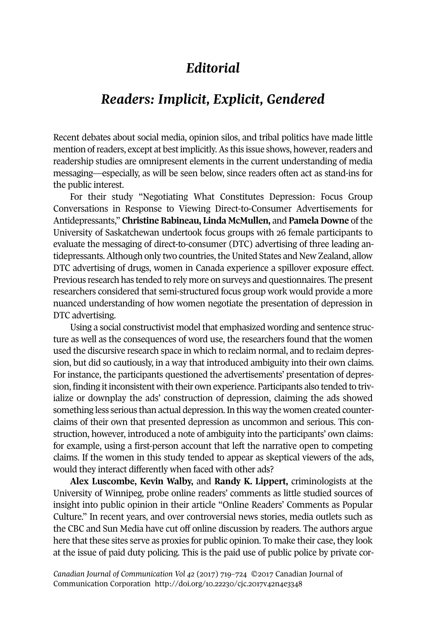## *Editorial*

## *Readers: Implicit, Explicit, Gendered*

Recent debates about social media, opinion silos, and tribal politics have made little mention of readers, except at best implicitly. As this issue shows, however, readers and readership studies are omnipresent elements in the current understanding of media messaging—especially, as will be seen below, since readers often act as stand-ins for the public interest.

For their study "Negotiating What Constitutes Depression: Focus Group Conversations in Response to Viewing Direct-to-Consumer Advertisements for Antidepressants," **Christine Babineau, Linda McMullen,** and **Pamela Downe** of the University of Saskatchewan undertook focus groups with 26 female participants to evaluate the messaging of direct-to-consumer (DTC) advertising of three leading antidepressants. Although only two countries, the United States and New Zealand, allow DTC advertising of drugs, women in Canada experience a spillover exposure effect. Previous research has tended to rely more on surveys and questionnaires. The present researchers considered that semi-structured focus group work would provide a more nuanced understanding of how women negotiate the presentation of depression in DTC advertising.

Using a social constructivist model that emphasized wording and sentence structure as well as the consequences of word use, the researchers found that the women used the discursive research space in which to reclaim normal, and to reclaim depression, but did so cautiously, in a way that introduced ambiguity into their own claims. For instance, the participants questioned the advertisements' presentation of depression, finding it inconsistent with their own experience. Participants also tended to trivialize or downplay the ads' construction of depression, claiming the ads showed something less serious than actual depression.In this way the women created counterclaims of their own that presented depression as uncommon and serious. This construction, however, introduced a note of ambiguity into the participants' own claims: for example, using a first-person account that left the narrative open to competing claims. If the women in this study tended to appear as skeptical viewers of the ads, would they interact differently when faced with other ads?

**Alex Luscombe, Kevin Walby,** and **Randy K. Lippert,** criminologists at the University of Winnipeg, probe online readers' comments as little studied sources of insight into public opinion in their article "Online Readers' Comments as Popular Culture." In recent years, and over controversial news stories, media outlets such as the CBC and Sun Media have cut off online discussion by readers. The authors argue here that these sites serve as proxies for public opinion. To make their case, they look at the issue of paid duty policing. This is the paid use of public police by private cor-

*Canadian Journal of [Communication](http://www.cjc-online.ca) Vol 42* (2017) 719–724 ©2017 Canadian Journal of Communication Corporation <http://doi.org/10.22230/cjc.2017v42n4e3348>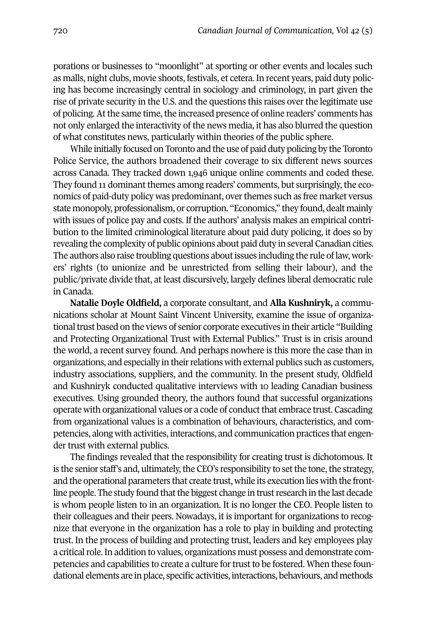porations or businesses to "moonlight" at sporting or other events and locales such as malls, night clubs, movie shoots, festivals, et cetera. In recent years, paid duty policing has become increasingly central in sociology and criminology, in part given the rise of private security in the U.S. and the questions this raises over the legitimate use of policing. At the same time, the increased presence of online readers' comments has not only enlarged the interactivity of the news media, it has also blurred the question of what constitutes news, particularly within theories of the public sphere.

While initially focused on Toronto and the use of paid duty policing by the Toronto Police Service, the authors broadened their coverage to six different news sources across Canada. They tracked down 1,946 unique online comments and coded these. They found 11 dominant themes among readers' comments, but surprisingly, the economics of paid-duty policy was predominant, over themes such as free market versus state monopoly, professionalism, or corruption. "Economics," they found, dealt mainly with issues of police pay and costs. If the authors' analysis makes an empirical contribution to the limited criminological literature about paid duty policing, it does so by revealing the complexity of public opinions about paid duty in several Canadian cities. The authors also raise troubling questions about issues including the rule of law, workers' rights (to unionize and be unrestricted from selling their labour), and the public/private divide that, at least discursively, largely defines liberal democratic rule in Canada.

**Natalie Doyle Oldfield,** a corporate consultant, and **Alla Kushniryk,** a communications scholar at Mount Saint Vincent University, examine the issue of organizational trust based on the views of senior corporate executives in their article "Building" and Protecting Organizational Trust with External Publics." Trust is in crisis around the world, a recent survey found. And perhaps nowhere is this more the case than in organizations, and especially in theirrelations with external publics such as customers, industry associations, suppliers, and the community. In the present study, Oldfield and Kushniryk conducted qualitative interviews with 10 leading Canadian business executives. Using grounded theory, the authors found that successful organizations operate with organizational values or a code of conduct that embrace trust. Cascading from organizational values is a combination of behaviours, characteristics, and competencies, along with activities, interactions, and communication practices that engender trust with external publics.

The findings revealed that the responsibility for creating trust is dichotomous. It is the senior staff's and, ultimately, the CEO's responsibility to set the tone, the strategy, and the operational parameters that create trust, while its execution lies with the frontline people. The study found that the biggest change in trust research in the last decade is whom people listen to in an organization. It is no longer the CEO. People listen to their colleagues and their peers. Nowadays, it is important for organizations to recognize that everyone in the organization has a role to play in building and protecting trust. In the process of building and protecting trust, leaders and key employees play a critical role. In addition to values, organizations must possess and demonstrate competencies and capabilities to create a culture fortrust to be fostered. When these foundational elements are in place, specific activities, interactions, behaviours, and methods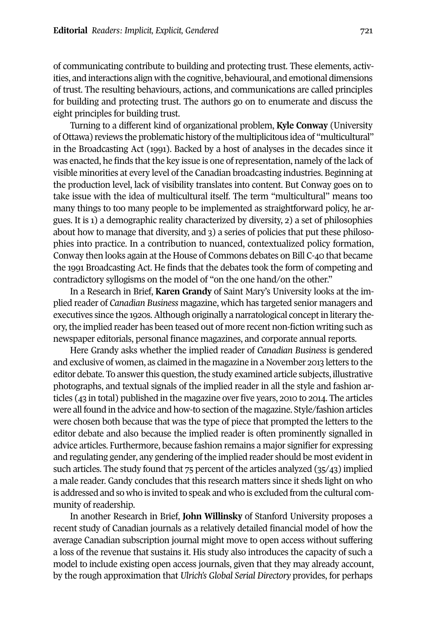of communicating contribute to building and protecting trust. These elements, activities, and interactions align with the cognitive, behavioural, and emotional dimensions of trust. The resulting behaviours, actions, and communications are called principles for building and protecting trust. The authors go on to enumerate and discuss the eight principles for building trust.

Turning to a different kind of organizational problem, **Kyle Conway** (University of Ottawa) reviews the problematic history of the multiplicitous idea of "multicultural" in the Broadcasting Act (1991). Backed by a host of analyses in the decades since it was enacted, he finds that the key issue is one ofrepresentation, namely of the lack of visible minorities at every level of the Canadian broadcasting industries. Beginning at the production level, lack of visibility translates into content. But Conway goes on to take issue with the idea of multicultural itself. The term "multicultural" means too many things to too many people to be implemented as straightforward policy, he argues. It is 1) a demographic reality characterized by diversity, 2) a set of philosophies about how to manage that diversity, and 3) a series of policies that put these philosophies into practice. In a contribution to nuanced, contextualized policy formation, Conway then looks again at the House of Commons debates on Bill C-40 that became the 1991 Broadcasting Act. He finds that the debates took the form of competing and contradictory syllogisms on the model of "on the one hand/on the other."

In a Research in Brief, **Karen Grandy** of Saint Mary's University looks at the implied reader of *Canadian Business* magazine, which has targeted senior managers and executives since the 1920s. Although originally a narratological concept in literary theory,the implied reader has been teased out of more recent non-fiction writing such as newspaper editorials, personal finance magazines, and corporate annual reports.

Here Grandy asks whether the implied reader of *Canadian Business* is gendered and exclusive of women, as claimed in the magazine in a November 2013 letters to the editor debate. To answer this question, the study examined article subjects, illustrative photographs, and textual signals of the implied reader in all the style and fashion articles (43 in total) published in the magazine over five years, 2010 to 2014. The articles were all found in the advice and how-to section of the magazine. Style/fashion articles were chosen both because that was the type of piece that prompted the letters to the editor debate and also because the implied reader is often prominently signalled in advice articles. Furthermore, because fashion remains a major signifier for expressing and regulating gender, any gendering of the implied reader should be most evident in such articles. The study found that 75 percent of the articles analyzed (35/43) implied a male reader. Gandy concludes that this research matters since it sheds light on who is addressed and so who is invited to speak and who is excluded from the cultural community of readership.

In another Research in Brief, **John Willinsky** of Stanford University proposes a recent study of Canadian journals as a relatively detailed financial model of how the average Canadian subscription journal might move to open access without suffering a loss of the revenue that sustains it. His study also introduces the capacity of such a model to include existing open access journals, given that they may already account, by the rough approximation that *Ulrich's Global Serial Directory* provides, for perhaps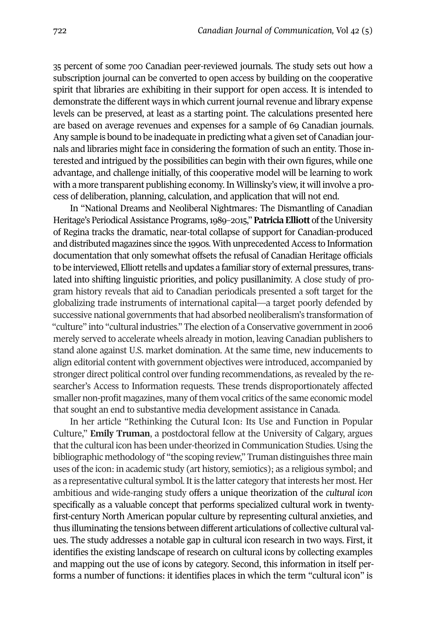35 percent of some 700 Canadian peer-reviewed journals. The study sets out how a subscription journal can be converted to open access by building on the cooperative spirit that libraries are exhibiting in their support for open access. It is intended to demonstrate the different ways in which current journalrevenue and library expense levels can be preserved, at least as a starting point. The calculations presented here are based on average revenues and expenses for a sample of 69 Canadian journals. Any sample is bound to be inadequate in predicting what a given set of Canadian journals and libraries might face in considering the formation of such an entity. Those interested and intrigued by the possibilities can begin with their own figures, while one advantage, and challenge initially, of this cooperative model will be learning to work with a more transparent publishing economy. In Willinsky's view, it will involve a process of deliberation, planning, calculation, and application that will not end.

In "National Dreams and Neoliberal Nightmares: The Dismantling of Canadian Heritage's Periodical Assistance Programs, 1989–2015," **Patricia Elliott** of the University of Regina tracks the dramatic, near-total collapse of support for Canadian-produced and distributed magazines since the 1990s. With unprecedented Access to Information documentation that only somewhat offsets the refusal of Canadian Heritage officials to be interviewed, Elliott retells and updates a familiar story of external pressures, translated into shifting linguistic priorities, and policy pusillanimity. A close study of program history reveals that aid to Canadian periodicals presented a soft target for the globalizing trade instruments of international capital—a target poorly defended by successive national governments that had absorbed neoliberalism's transformation of "culture" into "cultural industries." The election of a Conservative government in 2006 merely served to accelerate wheels already in motion, leaving Canadian publishers to stand alone against U.S. market domination. At the same time, new inducements to align editorial content with government objectives were introduced, accompanied by stronger direct political control overfunding recommendations, as revealed by the researcher's Access to Information requests. These trends disproportionately affected smaller non-profit magazines, many of them vocal critics of the same economic model that sought an end to substantive media development assistance in Canada.

In her article "Rethinking the Cutural Icon: Its Use and Function in Popular Culture," **Emily Truman**, a postdoctoral fellow at the University of Calgary, argues that the cultural icon has been under-theorized in Communication Studies. Using the bibliographic methodology of "the scoping review," Truman distinguishes three main uses of the icon: in academic study (art history, semiotics); as a religious symbol; and as a representative cultural symbol. It is the latter category that interests her most. Her ambitious and wide-ranging study offers a unique theorization of the *cultural icon* specifically as a valuable concept that performs specialized cultural work in twentyfirst-century North American popular culture by representing cultural anxieties, and thus illuminating the tensions between different articulations of collective cultural values. The study addresses a notable gap in cultural icon research in two ways. First, it identifies the existing landscape of research on cultural icons by collecting examples and mapping out the use of icons by category. Second, this information in itself performs a number of functions: it identifies places in which the term "cultural icon" is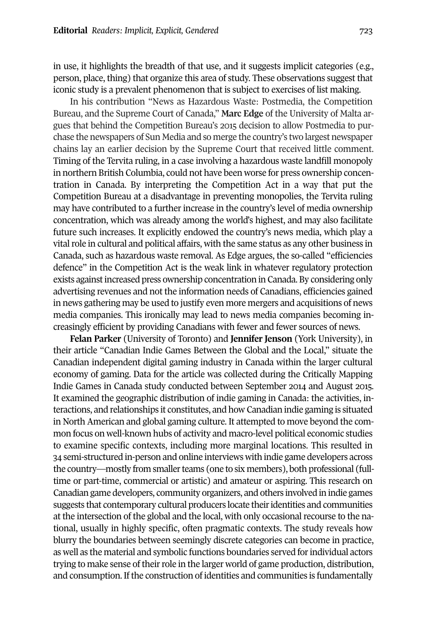in use, it highlights the breadth of that use, and it suggests implicit categories (e.g., person, place, thing) that organize this area of study. These observations suggest that iconic study is a prevalent phenomenon that is subject to exercises of list making.

In his contribution "News as Hazardous Waste: Postmedia, the Competition Bureau, and the Supreme Court of Canada," **Marc Edge** of the University of Malta argues that behind the Competition Bureau's 2015 decision to allow Postmedia to purchase the newspapers of Sun Media and so merge the country's two largest newspaper chains lay an earlier decision by the Supreme Court that received little comment. Timing of the Tervita ruling, in a case involving a hazardous waste landfill monopoly in northern British Columbia, could not have been worse for press ownership concentration in Canada. By interpreting the Competition Act in a way that put the Competition Bureau at a disadvantage in preventing monopolies, the Tervita ruling may have contributed to a further increase in the country's level of media ownership concentration, which was already among the world's highest, and may also facilitate future such increases. It explicitly endowed the country's news media, which play a vital role in cultural and political affairs, with the same status as any other business in Canada, such as hazardous waste removal. As Edge argues, the so-called "efficiencies defence" in the Competition Act is the weak link in whatever regulatory protection exists againstincreased press ownership concentration in Canada. By considering only advertising revenues and not the information needs of Canadians, efficiencies gained in news gathering may be used to justify even more mergers and acquisitions of news media companies. This ironically may lead to news media companies becoming increasingly efficient by providing Canadians with fewer and fewer sources of news.

**Felan Parker** (University of Toronto) and **Jennifer Jenson** (York University), in their article "Canadian Indie Games Between the Global and the Local," situate the Canadian independent digital gaming industry in Canada within the larger cultural economy of gaming. Data for the article was collected during the Critically Mapping Indie Games in Canada study conducted between September 2014 and August 2015. It examined the geographic distribution of indie gaming in Canada: the activities, interactions, and relationships it constitutes, and how Canadian indie gaming is situated in North American and global gaming culture. It attempted to move beyond the common focus on well-known hubs of activity and macro-level political economic studies to examine specific contexts, including more marginal locations. This resulted in 34 semi-structured in-person and online interviews with indie game developers across the country—mostly from smaller teams (one to six members), both professional (fulltime or part-time, commercial or artistic) and amateur or aspiring. This research on Canadian game developers, community organizers, and others involved in indie games suggests that contemporary cultural producers locate their identities and communities at the intersection of the global and the local, with only occasional recourse to the national, usually in highly specific, often pragmatic contexts. The study reveals how blurry the boundaries between seemingly discrete categories can become in practice, as well as the material and symbolic functions boundaries served forindividual actors trying to make sense of their role in the larger world of game production, distribution, and consumption. If the construction of identities and communities is fundamentally